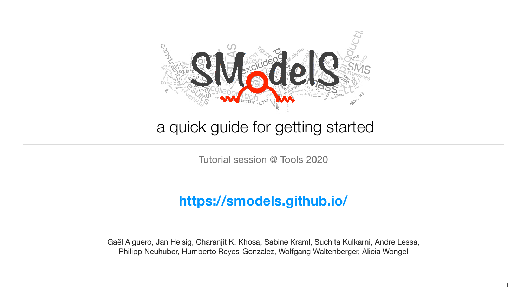

## a quick guide for getting started

Tutorial session @ Tools 2020

Gaël Alguero, Jan Heisig, Charanjit K. Khosa, Sabine Kraml, Suchita Kulkarni, Andre Lessa, Philipp Neuhuber, Humberto Reyes-Gonzalez, Wolfgang Waltenberger, Alicia Wongel

### **<https://smodels.github.io/>**

1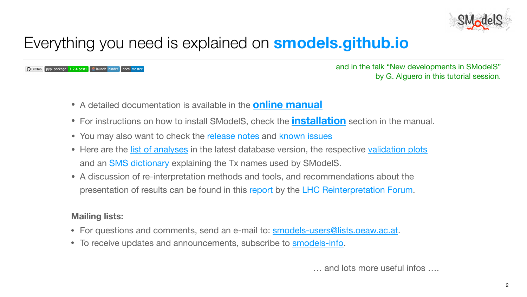# Everything you need is explained on **[smodels.github.io](https://smodels.github.io/)**

pypi package 1.2.4.post1 8 launch binder docs maste  $\Omega$  GitHub

- A detailed documentation is available in the **[online manual](http://smodels.readthedocs.io/)**
- 
- You may also want to check the [release notes](https://smodels.readthedocs.io/en/stable/ReleaseUpdate.html) and [known issues](https://github.com/SModelS/smodels/blob/master/KnownIssues)
- Here are the [list of analyses](https://smodels.github.io/docs/ListOfAnalyses) in the latest database version, the respective [validation plots](https://smodels.github.io/docs/Validation) and an **SMS dictionary** explaining the Tx names used by SModelS.
- A discussion of re-interpretation methods and tools, and recommendations about the presentation of results can be found in this [report](https://arxiv.org/abs/2003.07868) by the [LHC Reinterpretation Forum.](https://twiki.cern.ch/twiki/bin/view/LHCPhysics/InterpretingLHCresults)

• For instructions on how to install SModelS, check the **[installation](http://smodels.readthedocs.io/en/latest/Installation.html)** section in the manual.

### **Mailing lists:**

- For questions and comments, send an e-mail to: **[smodels-users@lists.oeaw.ac.at.](mailto:smodels-users@lists.oeaw.ac.at)**
- To receive updates and announcements, subscribe to **smodels-info**.



… and lots more useful infos ….



and in the talk "New developments in SModelS" by G. Alguero in this tutorial session.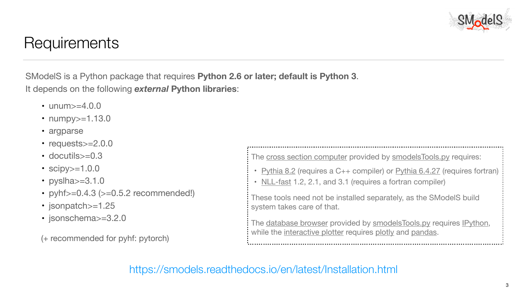## **Requirements**

SModelS is a Python package that requires **Python 2.6 or later; default is Python 3**. It depends on the following *external* **Python libraries**:

- unum>=4.0.0
- numpy>=1.13.0
- argparse
- requests>=2.0.0
- docutils>=0.3
- $scipy>=1.0.0$
- pyslha $>=$ 3.1.0
- pyhf $>=0.4.3$  ( $>=0.5.2$  recommended!)
- jsonpatch>=1.25
- jsonschema>=3.2.0

(+ recommended for pyhf: pytorch)

3

 These tools need not be installed separately, as the SModelS build system takes care of that.

The [database browser](https://smodels.readthedocs.io/en/latest/SModelSTools.html#databasebrowser) provided by [smodelsTools.py](https://smodels.readthedocs.io/en/latest/SModelSTools.html#smodelstools) requires [IPython](https://ipython.org/), while the [interactive plotter](https://smodels.readthedocs.io/en/latest/SModelSTools.html#interactiveplots) requires [plotly](https://plot.ly/python/) and [pandas](https://pandas.pydata.org/).





<https://smodels.readthedocs.io/en/latest/Installation.html>



The [cross section computer](https://smodels.readthedocs.io/en/latest/SModelSTools.html#xseccalc) provided by [smodelsTools.py](https://smodels.readthedocs.io/en/latest/SModelSTools.html#smodelstools) requires:

- [Pythia 8.2](https://arxiv.org/abs/1410.3012) (requires a C++ compiler) or [Pythia 6.4.27](http://arxiv.org/abs/hep-ph/0603175) (requires fortran)
- [NLL-fast](http://pauli.uni-muenster.de/~akule_01/nllwiki/index.php/NLL-fast) 1.2, 2.1, and 3.1 (requires a fortran compiler)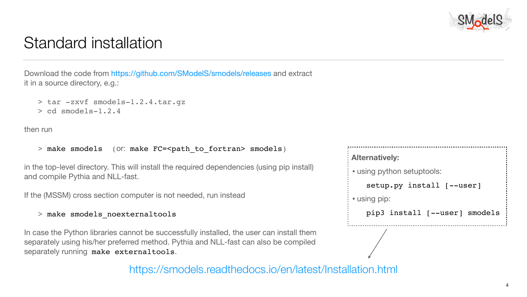### Standard installation

Download the code from <https://github.com/SModelS/smodels/releases> and extract it in a source directory, e.g.:

- > tar -zxvf smodels-1.2.4.tar.gz
- > cd smodels-1.2.4

then run

> make smodels (or: make FC=<path to fortran> smodels)

in the top-level directory. This will install the required dependencies (using pip install) and compile Pythia and NLL-fast.

In case the Python libraries cannot be successfully installed, the user can install them separately using his/her preferred method. Pythia and NLL-fast can also be compiled separately running make externaltools.



If the (MSSM) cross section computer is not needed, run instead

### > make smodels\_noexternaltools

4

<https://smodels.readthedocs.io/en/latest/Installation.html>



```
 Alternatively: 
• using python setuptools:
   setup.py install [--user]
• using pip:
    pip3 install [--user] smodels
```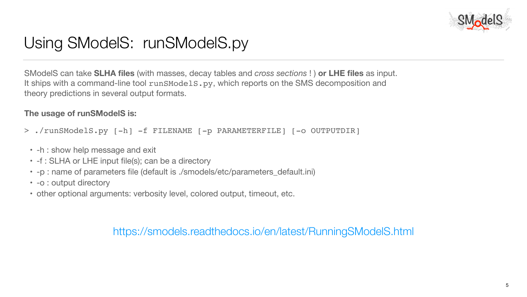# Using SModelS: runSModelS.py

5

<https://smodels.readthedocs.io/en/latest/RunningSModelS.html>





SModelS can take **SLHA files** (with masses, decay tables and *cross sections* ! ) **or LHE files** as input. It ships with a command-line tool runSModels.py, which reports on the SMS [decomposition](https://smodels.readthedocs.io/en/latest/Decomposition.html) and [theory predictions](https://smodels.readthedocs.io/en/latest/TheoryPredictions.html) in several [output formats](https://smodels.readthedocs.io/en/latest/RunningSModelS.html#smodelsoutput).

### **The usage of runSModelS is:**

- > ./runSModelS.py [-h] -f FILENAME [-p PARAMETERFILE] [-o OUTPUTDIR]
	- -h : show help message and exit
	- -f : SLHA or LHE input file(s); can be a directory
	- -p : name of parameters file (default is ./smodels/etc/parameters\_default.ini)
	- -o : output directory
	- other optional arguments: verbosity level, colored output, timeout, etc.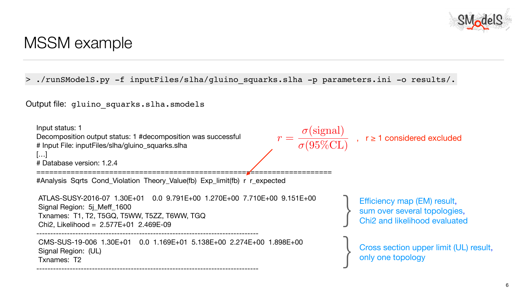### MSSM example



Input status: 1 Decomposition output status: 1 #decomposition was successful # Input File: inputFiles/slha/gluino\_squarks.slha […] # Database version: 1.2.4

#Analysis Sqrts Cond\_Violation Theory\_Value(fb) Exp\_limit(fb) r r\_expected

 ATLAS-SUSY-2016-07 1.30E+01 0.0 9.791E+00 1.270E+00 7.710E+00 9.151E+00 Signal Region: 5j\_Meff\_1600 Txnames: T1, T2, T5GQ, T5WW, T5ZZ, T6WW, TGQ Chi2, Likelihood = 2.577E+01 2.469E-09



 CMS-SUS-19-006 1.30E+01 0.0 1.169E+01 5.138E+00 2.274E+00 1.898E+00 Signal Region: (UL) Txnames: T2





> ./runSModelS.py -f inputFiles/slha/gluino\_squarks.slha -p parameters.ini -o results/.

Output file: gluino squarks.slha.smodels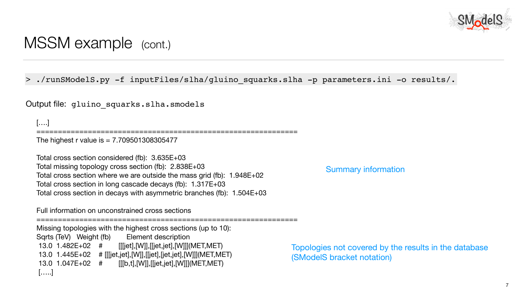### MSSM example (cont.)

[….]

The highest r value is  $= 7.709501308305477$ 

=============================================================

Total cross section considered (fb): 3.635E+03 Total missing topology cross section (fb): 2.838E+03 Total cross section where we are outside the mass grid (fb): 1.948E+02 Total cross section in long cascade decays (fb): 1.317E+03 Total cross section in decays with asymmetric branches (fb): 1.504E+03

Full information on unconstrained cross sections

=============================================================

Missing topologies with the highest cross sections (up to 10): Sqrts (TeV) Weight (fb) Element description 13.0 1.482E+02 # [[[jet],[W]],[[jet,jet],[W]]](MET,MET) 13.0 1.445E+02 # [[[jet,jet],[W]],[[jet],[jet,jet],[W]]](MET,MET) 13.0 1.047E+02 # [[[b,t],[W]],[[jet,jet],[W]]](MET,MET) […..]



> ./runSModelS.py -f inputFiles/slha/gluino\_squarks.slha -p parameters.ini -o results/.

Output file: gluino squarks.slha.smodels

Summary information

[Topologies not covered by the results in the database](https://smodels.readthedocs.io/en/stable/Coverage.html) ([SModelS bracket notation\)](https://smodels.readthedocs.io/en/stable/TheoryDefinitions.html)

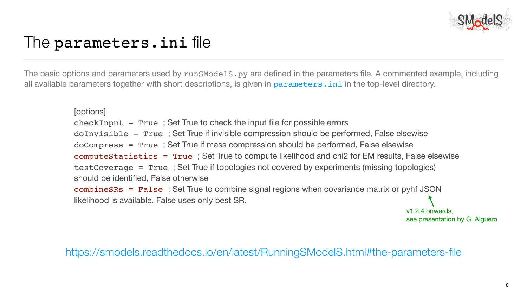## The parameters.ini file

The basic options and parameters used by runSModelS.py are defined in the parameters file. A commented example, including all available parameters together with short descriptions, is given in parameters. ini in the top-level directory.



<https://smodels.readthedocs.io/en/latest/RunningSModelS.html#the-parameters-file>



doInvisible = True ; Set True if invisible compression should be performed, False elsewise computeStatistics = True ; Set True to compute likelihood and chi2 for EM results, False elsewise testCoverage = True ; Set True if topologies not covered by experiments (missing topologies)

[options]  $checkInput = True$ ; Set True to check the input file for possible errors doCompress = True ; Set True if mass compression should be performed, False elsewise should be identified, False otherwise likelihood is available. False uses only best SR.

combineSRs = False ; Set True to combine signal regions when covariance matrix or pyhf JSON

v1.2.4 onwards, see presentation by G. Alguero

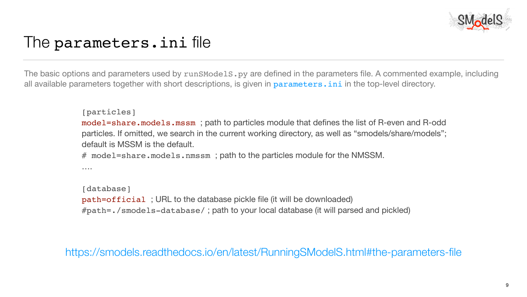## The parameters.ini file

The basic options and parameters used by runSModelS.py are defined in the parameters file. A commented example, including all available parameters together with short descriptions, is given in parameters. ini in the top-level directory.

```
[particles]
default is MSSM is the default.
# model=share.models.nmssm; path to the particles module for the NMSSM.
\sim - - - -
```


<https://smodels.readthedocs.io/en/latest/RunningSModelS.html#the-parameters-file>



model=share.models.mssm ; path to particles module that defines the list of R-even and R-odd particles. If omitted, we search in the current working directory, as well as "smodels/share/models";



```
[database]
path=official ; URL to the database pickle file (it will be downloaded)
#path=./smodels-database/ ; path to your local database (it will parsed and pickled)
```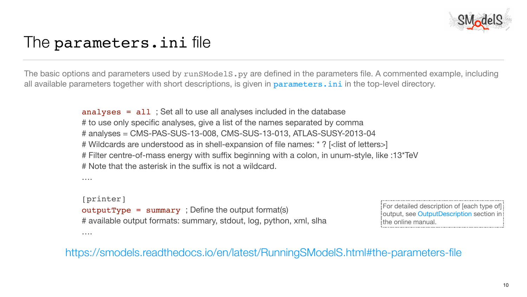## The parameters.ini file

The basic options and parameters used by runSModelS.py are defined in the parameters file. A commented example, including all available parameters together with short descriptions, is given in parameters. ini in the top-level directory.

10

<https://smodels.readthedocs.io/en/latest/RunningSModelS.html#the-parameters-file>



analyses = all ; Set all to use all analyses included in the database # to use only specific analyses, give a list of the names separated by comma # analyses = CMS-PAS-SUS-13-008, CMS-SUS-13-013, ATLAS-SUSY-2013-04 # Wildcards are understood as in shell-expansion of file names: \* ? [<list of letters>] # Filter centre-of-mass energy with suffix beginning with a colon, in unum-style, like :13\*TeV # Note that the asterisk in the suffix is not a wildcard.

….

[printer]

….

 $outputType = summary$ ; Define the output format(s) # available output formats: summary, stdout, log, python, xml, slha For detailed description of [each type of] output, see [OutputDescription](https://smodels.readthedocs.io/en/latest/OutputDescription.html#outputdescription) section in: the online manual.

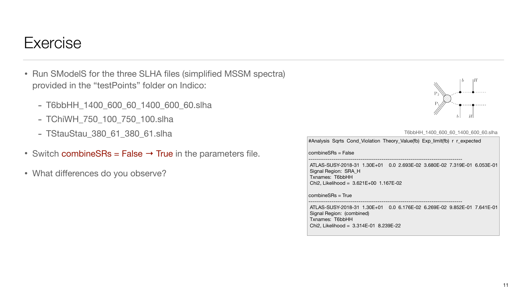### Exercise

- Run SModelS for the three SLHA files (simplified MSSM spectra) provided in the "testPoints" folder on Indico:
	- T6bbHH\_1400\_600\_60\_1400\_600\_60.slha
	- TChiWH\_750\_100\_750\_100.slha
	- TStauStau\_380\_61\_380\_61.slha
- Switch combineSRs = False  $\rightarrow$  True in the parameters file.
- What differences do you observe?



11

#Analysis Sqrts Cond\_Violation Theory\_Value(fb) Exp\_limit(fb) r r\_expected

combineSRs = False

--------------------------------------------------------------------------------

 ATLAS-SUSY-2018-31 1.30E+01 0.0 2.693E-02 3.680E-02 7.319E-01 6.053E-01 Signal Region: SRA\_H Txnames: T6bbHH Chi2, Likelihood = 3.621E+00 1.167E-02

combineSRs = True

--------------------------------------------------------------------------------

 ATLAS-SUSY-2018-31 1.30E+01 0.0 6.176E-02 6.269E-02 9.852E-01 7.641E-01 Signal Region: (combined) Txnames: T6bbHH Chi2, Likelihood = 3.314E-01 8.239E-22



T6bbHH\_1400\_600\_60\_1400\_600\_60.slha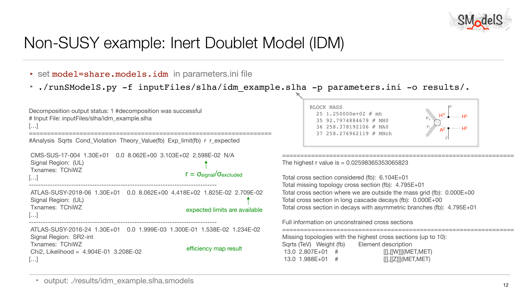# Non-SUSY example: Inert Doublet Model (IDM)

- ► set model=share.models.idm in parameters.ini file
- 





```
 CMS-SUS-17-004 1.30E+01 0.0 8.062E+00 3.103E+02 2.598E-02 N/A
 Signal Region: (UL)
 Txnames: TChiWZ
[…]
--------------------------------------------------------------------------------
                                                            r = \sigma_{signal}/\sigma_{excluded}
```

```
ATLAS-SUSY-2018-06 1.30E+01  0.0 8.062E+00  4.418E+02  1.825E-02  2.7
 Signal Region: (UL)
 Txnames: TChiWZ
[…]
                                                     expected limits are at
```
Decomposition output status: 1 #decomposition was successful # Input File: inputFiles/slha/idm\_example.slha […] =================================================================== #Analysis Sqrts Cond\_Violation Theory\_Value(fb) Exp\_limit(fb) r r\_expected

‣ output: ./results/idm\_example.slha.smodels





The highest r value is  $= 0.02598365353065823$ 

```
--------------------------------------------------------------------------------
 ATLAS-SUSY-2016-24 1.30E+01 0.0 1.999E-03 1.300E-01 1.538E-02 1.234E-02
 Signal Region: SR2-int
 Txnames: TChiWZ
 Chi2, Likelihood = 4.904E-01 3.208E-02
[…]
                                                          efficiency map result
```

| <b>09E-02</b><br>vailable | Total cross section considered (fb): 6.104E+01<br>Total missing topology cross section (fb): 4.795E+01<br>Total cross section where we are outside the mass grid (fb): 0.000E+00<br>Total cross section in long cascade decays (fb): 0.000E+00<br>Total cross section in decays with asymmetric branches (fb): 4.795E+01 |
|---------------------------|--------------------------------------------------------------------------------------------------------------------------------------------------------------------------------------------------------------------------------------------------------------------------------------------------------------------------|
|                           | Full information on unconstrained cross sections                                                                                                                                                                                                                                                                         |
| 34E-02                    | Missing topologies with the highest cross sections (up to 10):<br>Sqrts (TeV) Weight (fb)<br><b>Element description</b><br>13.0 2.807E+01<br>#<br>13.0 1.988E+01<br>$\left[\right],\left[\right[\right]\left[\right]\left[\right]\left(\right.\mathsf{MET},\mathsf{MET}\right)$<br>#                                     |

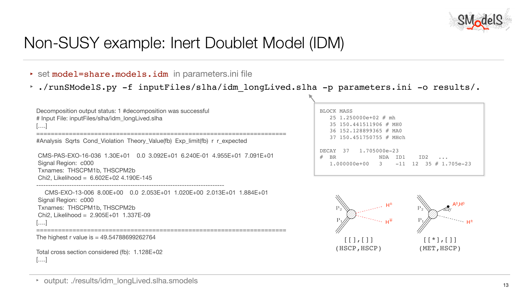# Non-SUSY example: Inert Doublet Model (IDM)

- $\rightarrow$  set model=share.models.idm in parameters.ini file
- 





```
 CMS-PAS-EXO-16-036 1.30E+01 0.0 3.092E+01 6.240E-01 4.955E+01 7.091E+01
 Signal Region: c000
 Txnames: THSCPM1b, THSCPM2b
Chi2, Likelihood = 6.602E+02 4.190E-145
```
Decomposition output status: 1 #decomposition was successful # Input File: inputFiles/slha/idm\_longLived.slha [….]

```
#Analysis Sqrts Cond_Violation Theory_Value(fb) Exp_limit(fb) r r_expected
```
--------------------------------------------------------------------------------



```
 CMS-EXO-13-006 8.00E+00 0.0 2.053E+01 1.020E+00 2.013E+01 1.884E+01
 Signal Region: c000
 Txnames: THSCPM1b, THSCPM2b
 Chi2, Likelihood = 2.905E+01 1.337E-09
[….]
```
=====================================================================

```
The highest r value is = 49.54788699262764
```
Total cross section considered (fb): 1.128E+02 [….]

‣ output: ./results/idm\_longLived.slha.smodels



(HSCP,HSCP)



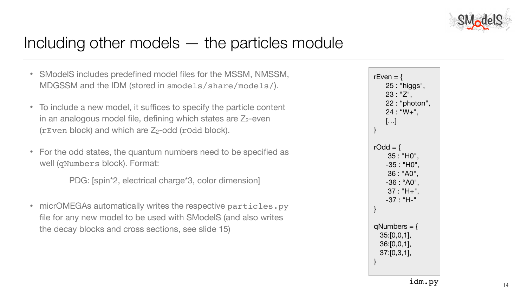# Including other models — the particles module

- SModelS includes predefined model files for the MSSM, NMSSM, MDGSSM and the IDM (stored in smodels/share/models/).
- To include a new model, it suffices to specify the particle content in an analogous model file, defining which states are  $Z_2$ -even ( $r$ Even block) and which are  $Z_2$ -odd ( $r$ Odd block).
- For the odd states, the quantum numbers need to be specified as well (qNumbers block). Format:

• micrOMEGAs automatically writes the respective particles.py file for any new model to be used with SModelS (and also writes the decay blocks and cross sections, see slide 15)



PDG: [spin\*2, electrical charge\*3, color dimension]

14

$$
rEven = \{ 25 : "higgs", 23 : "Z", 22 : "photon", 24 : "W+", \n [...] \}
$$
\n
$$
rOdd = \{ 35 : "HO", 35 : "HO", 36 : "AO", 36 : "AO", 37 : "H+", 37 : "H+", 37 : "H-" \}
$$
\n
$$
qNumbers = \{ 35:[0,0,1], 36:[0,0,1], 36:[0,0,1], 37:[0,3,1], 37:[0,3,1], 37:[0,3,1], 38
$$

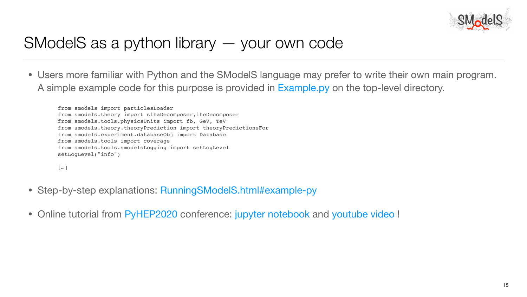# SModelS as a python library — your own code

• Users more familiar with Python and the SModelS language may prefer to write their own main program.

- Step-by-step explanations: [RunningSModelS.html#example-py](https://smodels.readthedocs.io/en/latest/RunningSModelS.html#example-py)
- Online tutorial from [PyHEP2020](https://indico.cern.ch/event/882824/) conference: [jupyter notebook](https://github.com/SModelS/pyhep2020) and [youtube video](https://www.youtube.com/watch?v=QnUtehNfd-w) !



A simple example code for this purpose is provided in [Example.py](https://smodels.readthedocs.io/en/latest/RunningSModelS.html#example-py) on the top-level directory.

15

from smodels import particlesLoader from smodels.theory import slhaDecomposer, lheDecomposer from smodels.tools.physicsUnits import fb, GeV, TeV from smodels.theory.theoryPrediction import theoryPredictionsFor from smodels.experiment.databaseObj import Database from smodels.tools import coverage from smodels.tools.smodelsLogging import setLogLevel setLogLevel("info")

[…]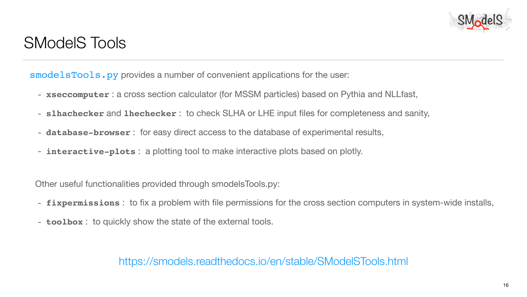### SModelS Tools

[smodelsTools.py](https://smodels.readthedocs.io/en/stable/SModelSTools.html) provides a number of convenient applications for the user:

- **[xseccomputer](https://smodels.readthedocs.io/en/stable/SModelSTools.html#xseccalc)** : a [cross section calculator](https://smodels.readthedocs.io/en/stable/SModelSTools.html#xseccalc) (for MSSM particles) based on Pythia and NLLfast,
- **[slhachecker](https://smodels.readthedocs.io/en/stable/SModelSTools.html#filechecks)** and **[lhechecker](https://smodels.readthedocs.io/en/stable/SModelSTools.html#filechecks)** : to check SLHA or LHE input files for completeness and sanity,
- **[database-browser](https://smodels.readthedocs.io/en/stable/SModelSTools.html#databasebrowser)** : for easy direct access to the [database](https://smodels.readthedocs.io/en/stable/DatabaseDefinitions.html#database) of experimental results,
- **[interactive-plots](https://smodels.readthedocs.io/en/stable/SModelSTools.html#interactiveplots)** : a plotting tool to make [interactive plots](https://smodels.readthedocs.io/en/stable/SModelSTools.html#interactiveplots) based on [plotly.](https://plot.ly/python/)

Other useful functionalities provided through smodelsTools.py:

- **[fixpermissions](https://smodels.readthedocs.io/en/stable/SModelSTools.html#permissionsfixer)** : to fix a problem with file permissions for the cross section computers in system-wide installs,
- **[toolbox](https://smodels.readthedocs.io/en/stable/SModelSTools.html#toolbox)** : to quickly show the state of the external tools.

16

<https://smodels.readthedocs.io/en/stable/SModelSTools.html>



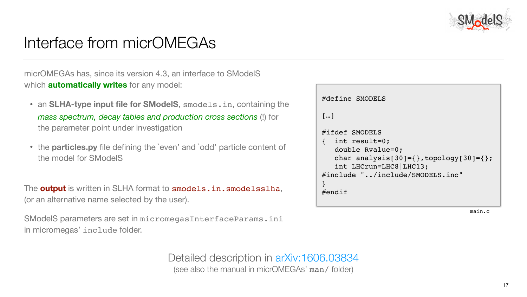# Interface from micrOMEGAs

micrOMEGAs has, since its version 4.3, an interface to SModelS which **automatically writes** for any model:

- the parameter point under investigation
- the model for SModelS

• an **SLHA-type input file for SModelS**, smodels.in, containing the *mass spectrum, decay tables and production cross sections* (!) for • the **particles.py** file defining the `even' and `odd' particle content of The **output** is written in SLHA format to smodels.in.smodelsslha, (or an alternative name selected by the user). #define SMODELS […] #ifdef SMODELS { int result=0; double Rvalue=0; char analysis[30]={ $}$ , topology[30]={ $}$ ; int LHCrun=LHC8|LHC13; #include "../include/SMODELS.inc" } #endif

SModelS parameters are set in micromegasInterfaceParams.ini in micromegas' include folder.

Detailed description in arXiv:1606.03834<br>(see also the manual in micrOMEGAs' man/ folder)







main.c